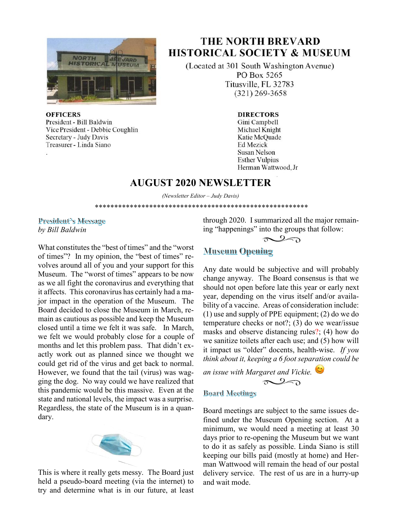

#### **OFFICERS**

President - Bill Baldwin Vice President - Debbie Coughlin Secretary - Judy Davis Treasurer - Linda Siano

# **THE NORTH BREVARD HISTORICAL SOCIETY & MUSEUM**

(Located at 301 South Washington Avenue) PO Box 5265 Titusville, FL 32783  $(321)$  269-3658

#### **DIRECTORS**

Gini Campbell Michael Knight Katie McQuade **Ed Mezick Susan Nelson Esther Vulpius** Herman Wattwood, Jr

## **AUGUST 2020 NEWSLETTER**

*(Newsletter Editor – Judy Davis)*  \*\*\*\*\*\*\*\*\*\*\*\*\*\*\*\*\*\*\*\*\*\*\*\*\*\*\*\*\*\*\*\*\*\*\*\*\*\*\*\*\*\*\*\*\*\*\*\*\*\*\*\*\*\*\*

#### President's Message *by Bill Baldwin*

What constitutes the "best of times" and the "worst of times"? In my opinion, the "best of times" revolves around all of you and your support for this Museum. The "worst of times" appears to be now as we all fight the coronavirus and everything that it affects. This coronavirus has certainly had a major impact in the operation of the Museum. The Board decided to close the Museum in March, remain as cautious as possible and keep the Museum closed until a time we felt it was safe. In March, we felt we would probably close for a couple of months and let this problem pass. That didn't exactly work out as planned since we thought we could get rid of the virus and get back to normal. However, we found that the tail (virus) was wagging the dog. No way could we have realized that this pandemic would be this massive. Even at the state and national levels, the impact was a surprise. Regardless, the state of the Museum is in a quandary.



This is where it really gets messy. The Board just held a pseudo-board meeting (via the internet) to try and determine what is in our future, at least

through 2020. I summarized all the major remaining "happenings" into the groups that follow:

### $\sim$

### **Museum Opening**

Any date would be subjective and will probably change anyway. The Board consensus is that we should not open before late this year or early next year, depending on the virus itself and/or availability of a vaccine. Areas of consideration include: (1) use and supply of PPE equipment; (2) do we do temperature checks or not?; (3) do we wear/issue masks and observe distancing rules?; (4) how do we sanitize toilets after each use; and (5) how will it impact us "older" docents, health-wise. *If you think about it, keeping a 6 foot separation could be* 

*an issue with Margaret and Vickie.* 

### $20$

#### **Board Meetings**

Board meetings are subject to the same issues defined under the Museum Opening section. At a minimum, we would need a meeting at least 30 days prior to re-opening the Museum but we want to do it as safely as possible. Linda Siano is still keeping our bills paid (mostly at home) and Herman Wattwood will remain the head of our postal delivery service. The rest of us are in a hurry-up and wait mode.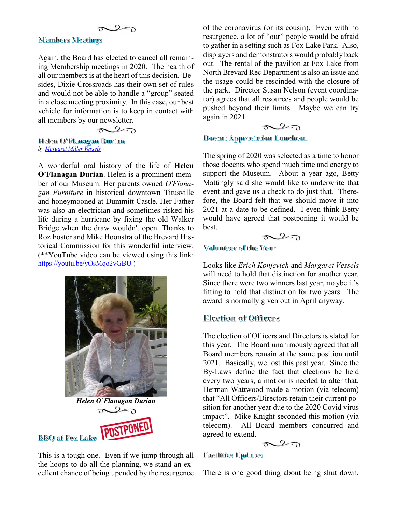#### $2\pi$

#### **Members Meetings**

Again, the Board has elected to cancel all remaining Membership meetings in 2020. The health of all our members is at the heart of this decision. Besides, Dixie Crossroads has their own set of rules and would not be able to handle a "group" seated in a close meeting proximity. In this case, our best vehicle for information is to keep in contact with all members by our newsletter.

 $\sim$ 

**Helen O'Flamagan Durian** *by Margaret Miller Vessels ·* 

A wonderful oral history of the life of **Helen O'Flanagan Durian**. Helen is a prominent member of our Museum. Her parents owned *O'Flanagan Furniture* in historical downtown Titusville and honeymooned at Dummitt Castle. Her Father was also an electrician and sometimes risked his life during a hurricane by fixing the old Walker Bridge when the draw wouldn't open. Thanks to Roz Foster and Mike Boonstra of the Brevard Historical Commission for this wonderful interview. (\*\*YouTube video can be viewed using this link: https://youtu.be/yOsMqo2vGBU )





BBQ at Fox Lake **POSTPONED** 

This is a tough one. Even if we jump through all the hoops to do all the planning, we stand an excellent chance of being upended by the resurgence

of the coronavirus (or its cousin). Even with no resurgence, a lot of "our" people would be afraid to gather in a setting such as Fox Lake Park. Also, displayers and demonstrators would probably back out. The rental of the pavilion at Fox Lake from North Brevard Rec Department is also an issue and the usage could be rescinded with the closure of the park. Director Susan Nelson (event coordinator) agrees that all resources and people would be pushed beyond their limits. Maybe we can try again in 2021.

$$
\sim 2\text{m}
$$

**Docent Appreciation Luncheon** 

The spring of 2020 was selected as a time to honor those docents who spend much time and energy to support the Museum. About a year ago, Betty Mattingly said she would like to underwrite that event and gave us a check to do just that. Therefore, the Board felt that we should move it into 2021 at a date to be defined. I even think Betty would have agreed that postponing it would be best.



#### Volunteer of the Year

Looks like *Erich Konjevich* and *Margaret Vessels* will need to hold that distinction for another year. Since there were two winners last year, maybe it's fitting to hold that distinction for two years. The award is normally given out in April anyway.

#### **Election of Officers**

The election of Officers and Directors is slated for this year. The Board unanimously agreed that all Board members remain at the same position until 2021. Basically, we lost this past year. Since the By-Laws define the fact that elections be held every two years, a motion is needed to alter that. Herman Wattwood made a motion (via telecom) that "All Officers/Directors retain their current position for another year due to the 2020 Covid virus impact". Mike Knight seconded this motion (via telecom). All Board members concurred and agreed to extend.



#### **Facilities Updates**

There is one good thing about being shut down.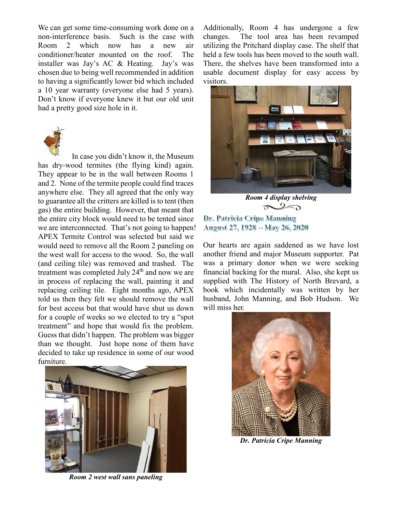We can get some time-consuming work done on a non-interference basis. Such is the case with Room 2 which now has a new air conditioner/heater mounted on the roof. The installer was Jay's AC & Heating. Jay's was chosen due to being well recommended in addition to having a significantly lower bid which included a 10 year warranty (everyone else had 5 years). Don't know if everyone knew it but our old unit had a pretty good size hole in it.



In case you didn't know it, the Museum has dry-wood termites (the flying kind) again. They appear to be in the wall between Rooms 1 and 2. None of the termite people could find traces anywhere else. They all agreed that the only way to guarantee all the critters are killed is to tent (then gas) the entire building. However, that meant that the entire city block would need to be tented since we are interconnected. That's not going to happen! APEX Termite Control was selected but said we would need to remove all the Room 2 paneling on the west wall for access to the wood. So, the wall (and ceiling tile) was removed and trashed. The treatment was completed July  $24<sup>th</sup>$  and now we are in process of replacing the wall, painting it and replacing ceiling tile. Eight months ago, APEX told us then they felt we should remove the wall for best access but that would have shut us down for a couple of weeks so we elected to try a "spot treatment" and hope that would fix the problem. Guess that didn't happen. The problem was bigger than we thought. Just hope none of them have decided to take up residence in some of our wood furniture.



*Room 2 west wall sans paneling* 

Additionally, Room 4 has undergone a few changes. The tool area has been revamped utilizing the Pritchard display case. The shelf that held a few tools has been moved to the south wall. There, the shelves have been transformed into a usable document display for easy access by visitors.



*Room 4 display shelving*   $\infty$ 

Dr. Patricia Cripe Mamming August 27, 1928 ~ May 26, 2020

Our hearts are again saddened as we have lost another friend and major Museum supporter. Pat was a primary donor when we were seeking financial backing for the mural. Also, she kept us supplied with The History of North Brevard, a book which incidentally was written by her husband, John Manning, and Bob Hudson. We will miss her.



*Dr. Patricia Cripe Manning*